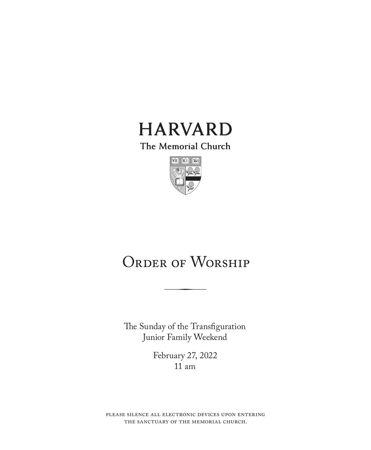

The Memorial Church



# ORDER OF WORSHIP

The Sunday of the Transfiguration Junior Family Weekend

> February 27, 2022 11 am

please silence all electronic devices upon entering the sanctuary of the memorial church.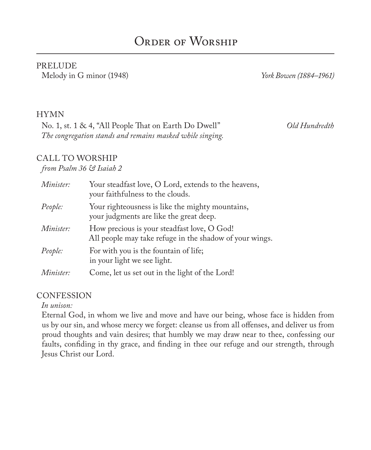#### PRELUDE Melody in G minor (1948) *York Bowen (1884–1961)*

#### HYMN

No. 1, st. 1 & 4, "All People That on Earth Do Dwell" *Old Hundredth The congregation stands and remains masked while singing.*

### CALL TO WORSHIP

#### *from Psalm 36 & Isaiah 2*

| Minister: | Your steadfast love, O Lord, extends to the heavens,<br>your faithfulness to the clouds.               |
|-----------|--------------------------------------------------------------------------------------------------------|
| People:   | Your righteousness is like the mighty mountains,<br>your judgments are like the great deep.            |
| Minister: | How precious is your steadfast love, O God!<br>All people may take refuge in the shadow of your wings. |
| People:   | For with you is the fountain of life;<br>in your light we see light.                                   |
| Minister: | Come, let us set out in the light of the Lord!                                                         |

#### **CONFESSION**

*In unison:*

Eternal God, in whom we live and move and have our being, whose face is hidden from us by our sin, and whose mercy we forget: cleanse us from all offenses, and deliver us from proud thoughts and vain desires; that humbly we may draw near to thee, confessing our faults, confiding in thy grace, and finding in thee our refuge and our strength, through Jesus Christ our Lord.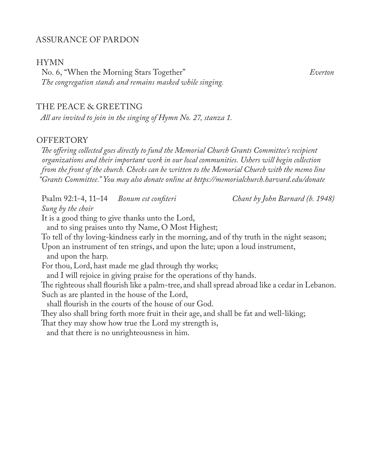#### ASSURANCE OF PARDON

#### HYMN

No. 6, "When the Morning Stars Together" *Everton The congregation stands and remains masked while singing.*

#### THE PEACE & GREETING

*All are invited to join in the singing of Hymn No. 27, stanza 1.*

#### **OFFERTORY**

*The offering collected goes directly to fund the Memorial Church Grants Committee's recipient organizations and their important work in our local communities. Ushers will begin collection from the front of the church. Checks can be written to the Memorial Church with the memo line "Grants Committee." You may also donate online at https://memorialchurch.harvard.edu/donate* 

Psalm 92:1-4, 11–14 *Bonum est confiteri Chant by John Barnard (b. 1948) Sung by the choir* It is a good thing to give thanks unto the Lord, and to sing praises unto thy Name, O Most Highest; To tell of thy loving-kindness early in the morning, and of thy truth in the night season; Upon an instrument of ten strings, and upon the lute; upon a loud instrument, and upon the harp. For thou, Lord, hast made me glad through thy works; and I will rejoice in giving praise for the operations of thy hands. The righteous shall flourish like a palm-tree, and shall spread abroad like a cedar in Lebanon. Such as are planted in the house of the Lord, shall flourish in the courts of the house of our God. They also shall bring forth more fruit in their age, and shall be fat and well-liking; That they may show how true the Lord my strength is, and that there is no unrighteousness in him.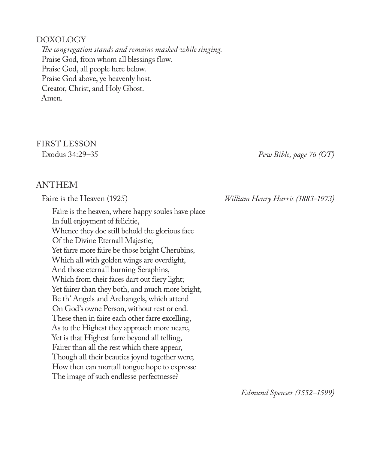#### DOXOLOGY

*The congregation stands and remains masked while singing.* Praise God, from whom all blessings flow. Praise God, all people here below. Praise God above, ye heavenly host. Creator, Christ, and Holy Ghost. Amen.

# FIRST LESSON

#### Exodus 34:29–35 *Pew Bible, page 76 (OT)*

#### ANTHEM

Faire is the heaven, where happy soules have place In full enjoyment of felicitie, Whence they doe still behold the glorious face Of the Divine Eternall Majestie; Yet farre more faire be those bright Cherubins, Which all with golden wings are overdight, And those eternall burning Seraphins, Which from their faces dart out fiery light; Yet fairer than they both, and much more bright, Be th' Angels and Archangels, which attend On God's owne Person, without rest or end. These then in faire each other farre excelling, As to the Highest they approach more neare, Yet is that Highest farre beyond all telling, Fairer than all the rest which there appear, Though all their beauties joynd together were; How then can mortall tongue hope to expresse The image of such endlesse perfectnesse?

Faire is the Heaven (1925) *William Henry Harris (1883-1973)*

*Edmund Spenser (1552–1599)*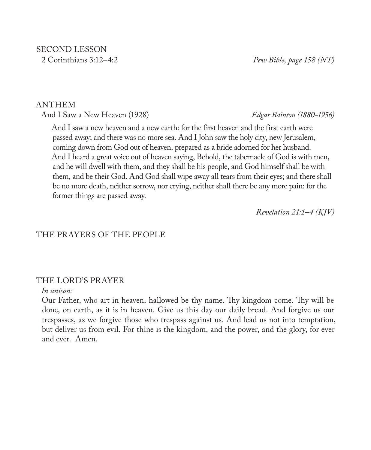# SECOND LESSON

2 Corinthians 3:12–4:2 *Pew Bible, page 158 (NT)*

#### ANTHEM

And I Saw a New Heaven (1928) *Edgar Bainton (1880-1956)*

And I saw a new heaven and a new earth: for the first heaven and the first earth were passed away; and there was no more sea. And I John saw the holy city, new Jerusalem, coming down from God out of heaven, prepared as a bride adorned for her husband. And I heard a great voice out of heaven saying, Behold, the tabernacle of God is with men, and he will dwell with them, and they shall be his people, and God himself shall be with them, and be their God. And God shall wipe away all tears from their eyes; and there shall be no more death, neither sorrow, nor crying, neither shall there be any more pain: for the former things are passed away.

*Revelation 21:1–4 (KJV)* 

#### THE PRAYERS OF THE PEOPLE

#### THE LORD'S PRAYER

#### *In unison:*

Our Father, who art in heaven, hallowed be thy name. Thy kingdom come. Thy will be done, on earth, as it is in heaven. Give us this day our daily bread. And forgive us our trespasses, as we forgive those who trespass against us. And lead us not into temptation, but deliver us from evil. For thine is the kingdom, and the power, and the glory, for ever and ever. Amen.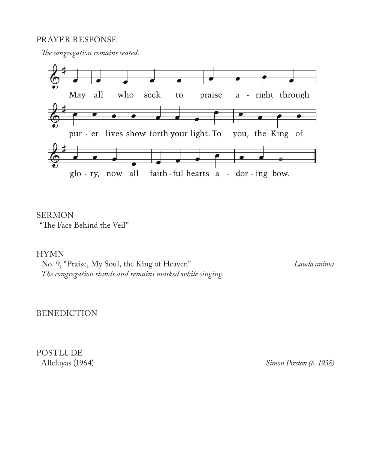#### PRAYER RESPONSE

*The congregation remains seated.*



SERMON "The Face Behind the Veil"

#### HYMN

No. 9, "Praise, My Soul, the King of Heaven" *Lauda anima The congregation stands and remains masked while singing.*

BENEDICTION

POSTLUDE<br>Alleluyas (1964)

Simon Preston (b. 1938)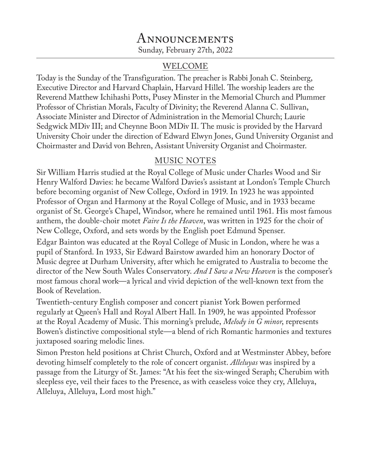# Announcements Sunday, February 27th, 2022

#### WELCOME

Today is the Sunday of the Transfiguration. The preacher is Rabbi Jonah C. Steinberg, Executive Director and Harvard Chaplain, Harvard Hillel. The worship leaders are the Reverend Matthew Ichihashi Potts, Pusey Minster in the Memorial Church and Plummer Professor of Christian Morals, Faculty of Divinity; the Reverend Alanna C. Sullivan, Associate Minister and Director of Administration in the Memorial Church; Laurie Sedgwick MDiv III; and Cheynne Boon MDiv II. The music is provided by the Harvard University Choir under the direction of Edward Elwyn Jones, Gund University Organist and Choirmaster and David von Behren, Assistant University Organist and Choirmaster.

### MUSIC NOTES

Sir William Harris studied at the Royal College of Music under Charles Wood and Sir Henry Walford Davies: he became Walford Davies's assistant at London's Temple Church before becoming organist of New College, Oxford in 1919. In 1923 he was appointed Professor of Organ and Harmony at the Royal College of Music, and in 1933 became organist of St. George's Chapel, Windsor, where he remained until 1961. His most famous anthem, the double-choir motet *Faire Is the Heaven*, was written in 1925 for the choir of New College, Oxford, and sets words by the English poet Edmund Spenser.

Edgar Bainton was educated at the Royal College of Music in London, where he was a pupil of Stanford. In 1933, Sir Edward Bairstow awarded him an honorary Doctor of Music degree at Durham University, after which he emigrated to Australia to become the director of the New South Wales Conservatory. *And I Saw a New Heaven* is the composer's most famous choral work—a lyrical and vivid depiction of the well-known text from the Book of Revelation.

Twentieth-century English composer and concert pianist York Bowen performed regularly at Queen's Hall and Royal Albert Hall. In 1909, he was appointed Professor at the Royal Academy of Music. This morning's prelude, *Melody in G minor*, represents Bowen's distinctive compositional style—a blend of rich Romantic harmonies and textures juxtaposed soaring melodic lines.

Simon Preston held positions at Christ Church, Oxford and at Westminster Abbey, before devoting himself completely to the role of concert organist. *Alleluyas* was inspired by a passage from the Liturgy of St. James: "At his feet the six-winged Seraph; Cherubim with sleepless eye, veil their faces to the Presence, as with ceaseless voice they cry, Alleluya, Alleluya, Alleluya, Lord most high."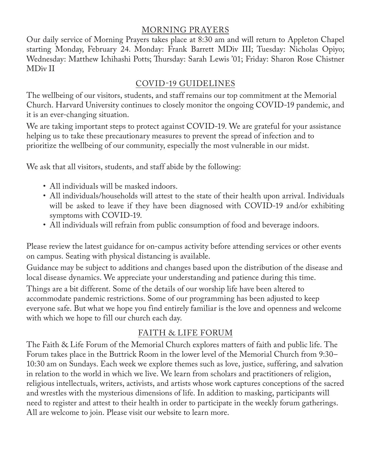# MORNING PRAYERS

Our daily service of Morning Prayers takes place at 8:30 am and will return to Appleton Chapel starting Monday, February 24. Monday: Frank Barrett MDiv III; Tuesday: Nicholas Opiyo; Wednesday: Matthew Ichihashi Potts; Thursday: Sarah Lewis '01; Friday: Sharon Rose Chistner MDiv II

# COVID-19 GUIDELINES

The wellbeing of our visitors, students, and staff remains our top commitment at the Memorial Church. Harvard University continues to closely monitor the ongoing COVID-19 pandemic, and it is an ever-changing situation.

We are taking important steps to protect against COVID-19. We are grateful for your assistance helping us to take these precautionary measures to prevent the spread of infection and to prioritize the wellbeing of our community, especially the most vulnerable in our midst.

We ask that all visitors, students, and staff abide by the following:

- All individuals will be masked indoors.
- All individuals/households will attest to the state of their health upon arrival. Individuals will be asked to leave if they have been diagnosed with COVID-19 and/or exhibiting symptoms with COVID-19.
- All individuals will refrain from public consumption of food and beverage indoors.

Please review the latest guidance for on-campus activity before attending services or other events on campus. Seating with physical distancing is available.

Guidance may be subject to additions and changes based upon the distribution of the disease and local disease dynamics. We appreciate your understanding and patience during this time.

Things are a bit different. Some of the details of our worship life have been altered to accommodate pandemic restrictions. Some of our programming has been adjusted to keep everyone safe. But what we hope you find entirely familiar is the love and openness and welcome with which we hope to fill our church each day.

# FAITH & LIFE FORUM

The Faith & Life Forum of the Memorial Church explores matters of faith and public life. The Forum takes place in the Buttrick Room in the lower level of the Memorial Church from 9:30– 10:30 am on Sundays. Each week we explore themes such as love, justice, suffering, and salvation in relation to the world in which we live. We learn from scholars and practitioners of religion, religious intellectuals, writers, activists, and artists whose work captures conceptions of the sacred and wrestles with the mysterious dimensions of life. In addition to masking, participants will need to register and attest to their health in order to participate in the weekly forum gatherings. All are welcome to join. Please visit our website to learn more.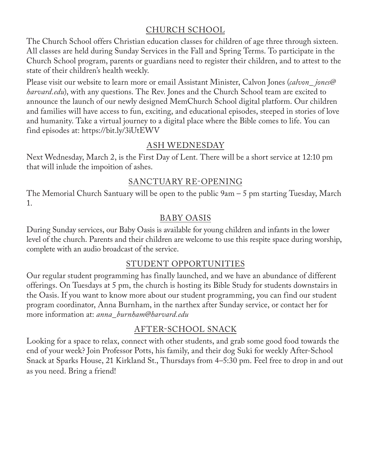# CHURCH SCHOOL

The Church School offers Christian education classes for children of age three through sixteen. All classes are held during Sunday Services in the Fall and Spring Terms. To participate in the Church School program, parents or guardians need to register their children, and to attest to the state of their children's health weekly.

Please visit our website to learn more or email Assistant Minister, Calvon Jones (*calvon\_ jones@ harvard.edu*), with any questions. The Rev. Jones and the Church School team are excited to announce the launch of our newly designed MemChurch School digital platform. Our children and families will have access to fun, exciting, and educational episodes, steeped in stories of love and humanity. Take a virtual journey to a digital place where the Bible comes to life. You can find episodes at: https://bit.ly/3iUtEWV

# ASH WEDNESDAY

Next Wednesday, March 2, is the First Day of Lent. There will be a short service at 12:10 pm that will inlude the impoition of ashes.

# SANCTUARY RE-OPENING

The Memorial Church Santuary will be open to the public  $9am - 5$  pm starting Tuesday, March 1.

# BABY OASIS

During Sunday services, our Baby Oasis is available for young children and infants in the lower level of the church. Parents and their children are welcome to use this respite space during worship, complete with an audio broadcast of the service.

# STUDENT OPPORTUNITIES

Our regular student programming has finally launched, and we have an abundance of different offerings. On Tuesdays at 5 pm, the church is hosting its Bible Study for students downstairs in the Oasis. If you want to know more about our student programming, you can find our student program coordinator, Anna Burnham, in the narthex after Sunday service, or contact her for more information at: *anna\_burnham@harvard.edu*

# AFTER-SCHOOL SNACK

Looking for a space to relax, connect with other students, and grab some good food towards the end of your week? Join Professor Potts, his family, and their dog Suki for weekly After-School Snack at Sparks House, 21 Kirkland St., Thursdays from 4–5:30 pm. Feel free to drop in and out as you need. Bring a friend!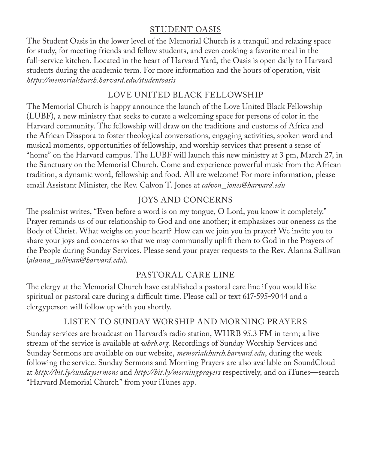# STUDENT OASIS

The Student Oasis in the lower level of the Memorial Church is a tranquil and relaxing space for study, for meeting friends and fellow students, and even cooking a favorite meal in the full-service kitchen. Located in the heart of Harvard Yard, the Oasis is open daily to Harvard students during the academic term. For more information and the hours of operation, visit *https://memorialchurch.harvard.edu/studentoasis*

# LOVE UNITED BLACK FELLOWSHIP

The Memorial Church is happy announce the launch of the Love United Black Fellowship (LUBF), a new ministry that seeks to curate a welcoming space for persons of color in the Harvard community. The fellowship will draw on the traditions and customs of Africa and the African Diaspora to foster theological conversations, engaging activities, spoken word and musical moments, opportunities of fellowship, and worship services that present a sense of "home" on the Harvard campus. The LUBF will launch this new ministry at 3 pm, March 27, in the Sanctuary on the Memorial Church. Come and experience powerful music from the African tradition, a dynamic word, fellowship and food. All are welcome! For more information, please email Assistant Minister, the Rev. Calvon T. Jones at *calvon\_ jones@harvard.edu*

# JOYS AND CONCERNS

The psalmist writes, "Even before a word is on my tongue, O Lord, you know it completely." Prayer reminds us of our relationship to God and one another; it emphasizes our oneness as the Body of Christ. What weighs on your heart? How can we join you in prayer? We invite you to share your joys and concerns so that we may communally uplift them to God in the Prayers of the People during Sunday Services. Please send your prayer requests to the Rev. Alanna Sullivan (*alanna\_sullivan*@*harvard.edu*).

# PASTORAL CARE LINE

The clergy at the Memorial Church have established a pastoral care line if you would like spiritual or pastoral care during a difficult time. Please call or text 617-595-9044 and a clergyperson will follow up with you shortly.

### LISTEN TO SUNDAY WORSHIP AND MORNING PRAYERS

Sunday services are broadcast on Harvard's radio station, WHRB 95.3 FM in term; a live stream of the service is available at *whrb.org*. Recordings of Sunday Worship Services and Sunday Sermons are available on our website, *memorialchurch.harvard.edu*, during the week following the service. Sunday Sermons and Morning Prayers are also available on SoundCloud at *http://bit.ly/sundaysermons* and *http://bit.ly/morningprayers* respectively, and on iTunes—search "Harvard Memorial Church" from your iTunes app.